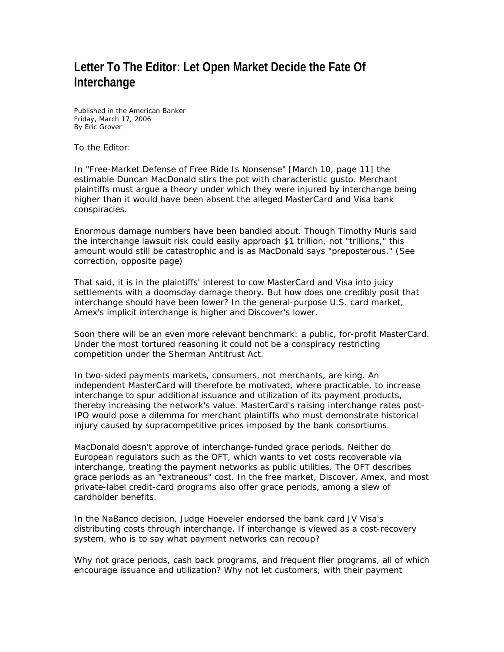## **Letter To The Editor: Let Open Market Decide the Fate Of Interchange**

Published in the *American Banker*  Friday, March 17, 2006 By Eric Grover

To the Editor:

In "Free-Market Defense of Free Ride Is Nonsense" [March 10, page 11] the estimable Duncan MacDonald stirs the pot with characteristic gusto. Merchant plaintiffs must argue a theory under which they were injured by interchange being higher than it would have been absent the alleged MasterCard and Visa bank conspiracies.

Enormous damage numbers have been bandied about. Though Timothy Muris said the interchange lawsuit risk could easily approach \$1 trillion, not "trillions," this amount would still be catastrophic and is as MacDonald says "preposterous." (See correction, opposite page)

That said, it is in the plaintiffs' interest to cow MasterCard and Visa into juicy settlements with a doomsday damage theory. But how does one credibly posit that interchange should have been lower? In the general-purpose U.S. card market, Amex's implicit interchange is higher and Discover's lower.

Soon there will be an even more relevant benchmark: a public, for-profit MasterCard. Under the most tortured reasoning it could not be a conspiracy restricting competition under the Sherman Antitrust Act.

In two-sided payments markets, consumers, not merchants, are king. An independent MasterCard will therefore be motivated, where practicable, to increase interchange to spur additional issuance and utilization of its payment products, thereby increasing the network's value. MasterCard's raising interchange rates post-IPO would pose a dilemma for merchant plaintiffs who must demonstrate historical injury caused by supracompetitive prices imposed by the bank consortiums.

MacDonald doesn't approve of interchange-funded grace periods. Neither do European regulators such as the OFT, which wants to vet costs recoverable via interchange, treating the payment networks as public utilities. The OFT describes grace periods as an "extraneous" cost. In the free market, Discover, Amex, and most private-label credit-card programs also offer grace periods, among a slew of cardholder benefits.

In the NaBanco decision, Judge Hoeveler endorsed the bank card JV Visa's distributing costs through interchange. If interchange is viewed as a cost-recovery system, who is to say what payment networks can recoup?

Why not grace periods, cash back programs, and frequent flier programs, all of which encourage issuance and utilization? Why not let customers, with their payment